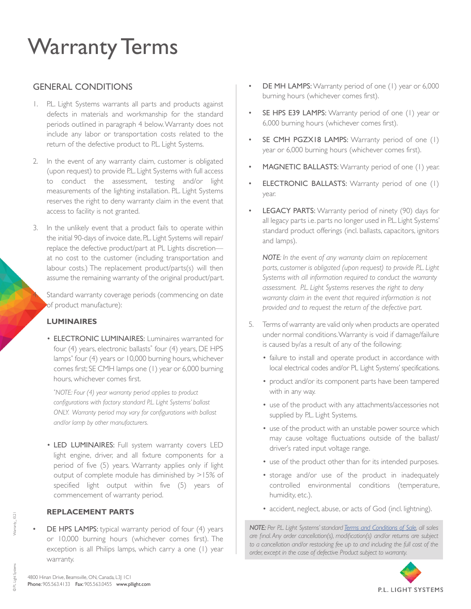## Warranty Terms

## GENERAL CONDITIONS

- 1. P.L. Light Systems warrants all parts and products against defects in materials and workmanship for the standard periods outlined in paragraph 4 below. Warranty does not include any labor or transportation costs related to the return of the defective product to P.L. Light Systems.
- 2. In the event of any warranty claim, customer is obligated (upon request) to provide P.L. Light Systems with full access to conduct the assessment, testing and/or light measurements of the lighting installation. P.L. Light Systems reserves the right to deny warranty claim in the event that access to facility is not granted.
- 3. In the unlikely event that a product fails to operate within the initial 90-days of invoice date, P.L. Light Systems will repair/ replace the defective product/part at PL Lights discretion at no cost to the customer (including transportation and labour costs.) The replacement product/parts(s) will then assume the remaining warranty of the original product/part.

Standard warranty coverage periods (commencing on date of product manufacture):

#### **LUMINAIRES**

• ELECTRONIC LUMINAIRES: Luminaires warranted for four (4) years, electronic ballasts\* four (4) years, DE HPS lamps\* four (4) years or 10,000 burning hours, whichever comes first; SE CMH lamps one (1) year or 6,000 burning hours, whichever comes first.

 *\* NOTE: Four (4) year warranty period applies to product configurations with factory standard P.L. Light Systems' ballast ONLY. Warranty period may vary for configurations with ballast and/or lamp by other manufacturers.*

• LED LUMINAIRES: Full system warranty covers LED light engine, driver, and all fixture components for a period of five (5) years. Warranty applies only if light output of complete module has diminished by >15% of specified light output within five (5) years of commencement of warranty period.

#### **REPLACEMENT PARTS**

DE HPS LAMPS: typical warranty period of four (4) years or 10,000 burning hours (whichever comes first). The exception is all Philips lamps, which carry a one (1) year warranty.

- DE MH LAMPS: Warranty period of one (1) year or 6,000 burning hours (whichever comes first).
- SE HPS E39 LAMPS: Warranty period of one (1) year or 6,000 burning hours (whichever comes first).
- SE CMH PGZX18 LAMPS: Warranty period of one (1) year or 6,000 burning hours (whichever comes first).
- MAGNETIC BALLASTS: Warranty period of one (1) year.
- **ELECTRONIC BALLASTS:** Warranty period of one (1) year.
- LEGACY PARTS: Warranty period of ninety (90) days for all legacy parts i.e. parts no longer used in P.L. Light Systems' standard product offerings (incl. ballasts, capacitors, ignitors and lamps).

*NOTE: In the event of any warranty claim on replacement parts, customer is obligated (upon request) to provide P.L. Light Systems with all information required to conduct the warranty assessment. P.L. Light Systems reserves the right to deny warranty claim in the event that required information is not provided and to request the return of the defective part.*

- 5. Terms of warranty are valid only when products are operated under normal conditions. Warranty is void if damage/failure is caused by/as a result of any of the following:
	- failure to install and operate product in accordance with local electrical codes and/or PL Light Systems' specifications.
	- product and/or its component parts have been tampered with in any way.
	- use of the product with any attachments/accessories not supplied by P.L. Light Systems.
	- use of the product with an unstable power source which may cause voltage fluctuations outside of the ballast/ driver's rated input voltage range.
	- use of the product other than for its intended purposes.
	- storage and/or use of the product in inadequately controlled environmental conditions (temperature, humidity, etc.).
	- accident, neglect, abuse, or acts of God (incl. lightning).

*NOTE: Per P.L. Light Systems' standard [Terms and Conditions of Sale](https://pllight.com/resources/), all sales are final. Any order cancellation(s), modification(s) and/or returns are subject*  to a cancellation and/or restocking fee up to and including the full cost of the *order, except in the case of defective Product subject to warranty.*



© PL Light Systems

D PL Light Systems

Warranty\_10.21

Warranty\_10.21